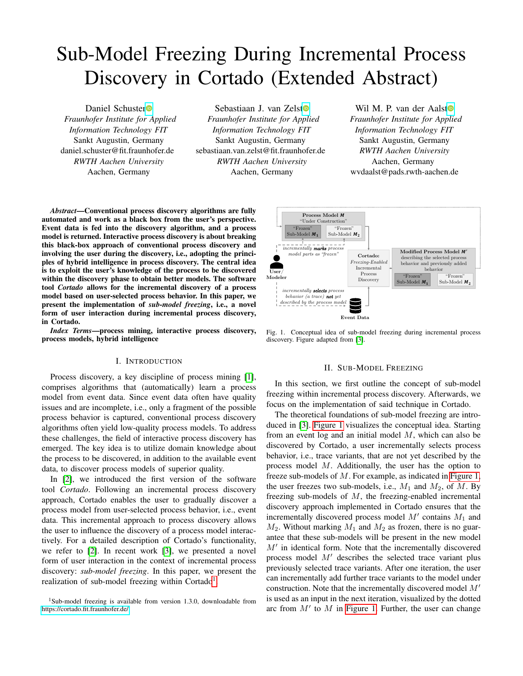# Sub-Model Freezing During Incremental Process Discovery in Cortado (Extended Abstract)

Daniel Schuste[r](https://orcid.org/0000-0002-6512-9580)<sup>®</sup> *Fraunhofer Institute for Applied Information Technology FIT* Sankt Augustin, Germany daniel.schuster@fit.fraunhofer.de *RWTH Aachen University* Aachen, Germany

Sebastiaan J. van Zels[t](https://orcid.org/0000-0003-0415-1036) *Fraunhofer Institute for Applied Information Technology FIT* Sankt Augustin, Germany sebastiaan.van.zelst@fit.fraunhofer.de *RWTH Aachen University* Aachen, Germany

Wil M. P. van der Aals[t](https://orcid.org/0000-0002-0955-6940)<sup>o</sup> *Fraunhofer Institute for Applied Information Technology FIT* Sankt Augustin, Germany *RWTH Aachen University* Aachen, Germany wvdaalst@pads.rwth-aachen.de

*Abstract*—Conventional process discovery algorithms are fully automated and work as a black box from the user's perspective. Event data is fed into the discovery algorithm, and a process model is returned. Interactive process discovery is about breaking this black-box approach of conventional process discovery and involving the user during the discovery, i.e., adopting the principles of hybrid intelligence in process discovery. The central idea is to exploit the user's knowledge of the process to be discovered within the discovery phase to obtain better models. The software tool *Cortado* allows for the incremental discovery of a process model based on user-selected process behavior. In this paper, we present the implementation of *sub-model freezing*, i.e., a novel form of user interaction during incremental process discovery, in Cortado.

*Index Terms*—process mining, interactive process discovery, process models, hybrid intelligence

## I. INTRODUCTION

Process discovery, a key discipline of process mining [\[1\]](#page-1-0), comprises algorithms that (automatically) learn a process model from event data. Since event data often have quality issues and are incomplete, i.e., only a fragment of the possible process behavior is captured, conventional process discovery algorithms often yield low-quality process models. To address these challenges, the field of interactive process discovery has emerged. The key idea is to utilize domain knowledge about the process to be discovered, in addition to the available event data, to discover process models of superior quality.

In [\[2\]](#page-1-1), we introduced the first version of the software tool *Cortado*. Following an incremental process discovery approach, Cortado enables the user to gradually discover a process model from user-selected process behavior, i.e., event data. This incremental approach to process discovery allows the user to influence the discovery of a process model interactively. For a detailed description of Cortado's functionality, we refer to [\[2\]](#page-1-1). In recent work [\[3\]](#page-1-2), we presented a novel form of user interaction in the context of incremental process discovery: *sub-model freezing*. In this paper, we present the realization of sub-model freezing within Cortado<sup>[1](#page-0-0)</sup>.



<span id="page-0-1"></span>Fig. 1. Conceptual idea of sub-model freezing during incremental process discovery. Figure adapted from [\[3\]](#page-1-2).

### II. SUB-MODEL FREEZING

In this section, we first outline the concept of sub-model freezing within incremental process discovery. Afterwards, we focus on the implementation of said technique in Cortado.

The theoretical foundations of sub-model freezing are introduced in [\[3\]](#page-1-2). [Figure 1](#page-0-1) visualizes the conceptual idea. Starting from an event log and an initial model  $M$ , which can also be discovered by Cortado, a user incrementally selects process behavior, i.e., trace variants, that are not yet described by the process model M. Additionally, the user has the option to freeze sub-models of M. For example, as indicated in [Figure 1,](#page-0-1) the user freezes two sub-models, i.e.,  $M_1$  and  $M_2$ , of  $M$ . By freezing sub-models of  $M$ , the freezing-enabled incremental discovery approach implemented in Cortado ensures that the incrementally discovered process model  $M'$  contains  $M_1$  and  $M_2$ . Without marking  $M_1$  and  $M_2$  as frozen, there is no guarantee that these sub-models will be present in the new model  $M'$  in identical form. Note that the incrementally discovered process model  $M'$  describes the selected trace variant plus previously selected trace variants. After one iteration, the user can incrementally add further trace variants to the model under construction. Note that the incrementally discovered model  $M'$ is used as an input in the next iteration, visualized by the dotted arc from  $M'$  to  $M$  in [Figure 1.](#page-0-1) Further, the user can change

<span id="page-0-0"></span> $1$ Sub-model freezing is available from version 1.3.0, downloadable from <https://cortado.fit.fraunhofer.de/>